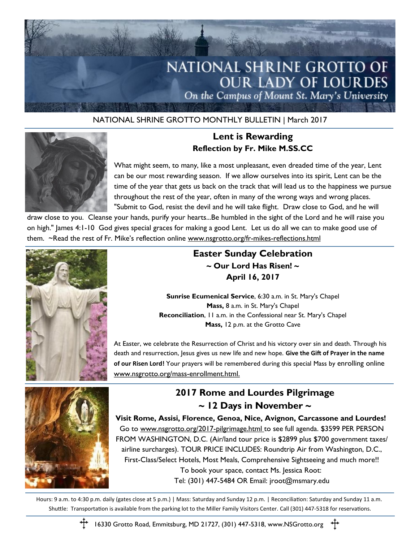

#### NATIONAL SHRINE GROTTO MONTHLY BULLETIN | March 2017



#### **Lent is Rewarding Reflection by Fr. Mike M.SS.CC**

What might seem, to many, like a most unpleasant, even dreaded time of the year, Lent can be our most rewarding season. If we allow ourselves into its spirit, Lent can be the time of the year that gets us back on the track that will lead us to the happiness we pursue throughout the rest of the year, often in many of the wrong ways and wrong places. "Submit to God, resist the devil and he will take flight. Draw close to God, and he will

draw close to you. Cleanse your hands, purify your hearts...Be humbled in the sight of the Lord and he will raise you on high." James 4:1-10 God gives special graces for making a good Lent. Let us do all we can to make good use of them. ~Read the rest of Fr. Mike's reflection online www.nsgrotto.org/fr-mikes-reflections.html



### **Easter Sunday Celebration ~ Our Lord Has Risen! ~ April 16, 2017**

**Sunrise Ecumenical Service**, 6:30 a.m. in St. Mary's Chapel **Mass,** 8 a.m. in St. Mary's Chapel **Reconciliation**, 11 a.m. in the Confessional near St. Mary's Chapel **Mass,** 12 p.m. at the Grotto Cave

At Easter, we celebrate the Resurrection of Christ and his victory over sin and death. Through his death and resurrection, Jesus gives us new life and new hope. **Give the Gift of Prayer in the name of our Risen Lord!** Your prayers will be remembered during this special Mass by enrolling online www.nsgrotto.org/mass-enrollment.html.



## **2017 Rome and Lourdes Pilgrimage ~ 12 Days in November ~**

**Visit Rome, Assisi, Florence, Genoa, Nice, Avignon, Carcassone and Lourdes!** Go to www.nsgrotto.org/2017-pilgrimage.html to see full agenda. \$3599 PER PERSON FROM WASHINGTON, D.C. (Air/land tour price is \$2899 plus \$700 government taxes/ airline surcharges). TOUR PRICE INCLUDES: Roundtrip Air from Washington, D.C., First-Class/Select Hotels, Most Meals, Comprehensive Sightseeing and much more!! To book your space, contact Ms. Jessica Root: Tel: (301) 447-5484 OR Email: jroot@msmary.edu

Hours: 9 a.m. to 4:30 p.m. daily (gates close at 5 p.m.) | Mass: Saturday and Sunday 12 p.m. | Reconciliation: Saturday and Sunday 11 a.m. Shuttle: Transportation is available from the parking lot to the Miller Family Visitors Center. Call (301) 447-5318 for reservations.



16330 Grotto Road, Emmitsburg, MD 21727, (301) 447-5318, www.NSGrotto.org